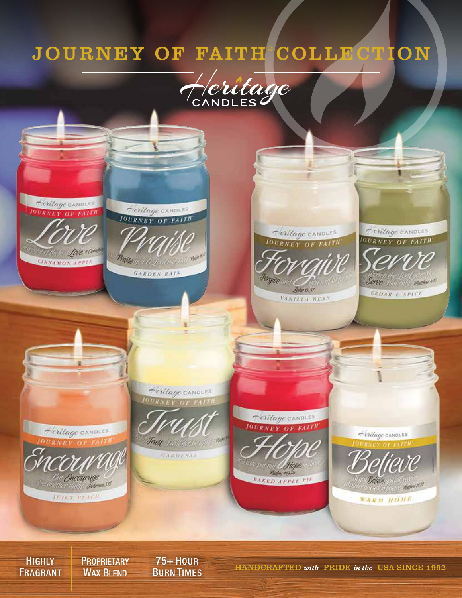## JOURNEY OF FAITH COLLECTION





**HIGHLY** FRAGRANT **PROPRIETARY** WAX **BLEND**  75+ HOUR

BURN TIMES HANDCRAFTED *with* PRIDE *in the* USA SINCE 1992